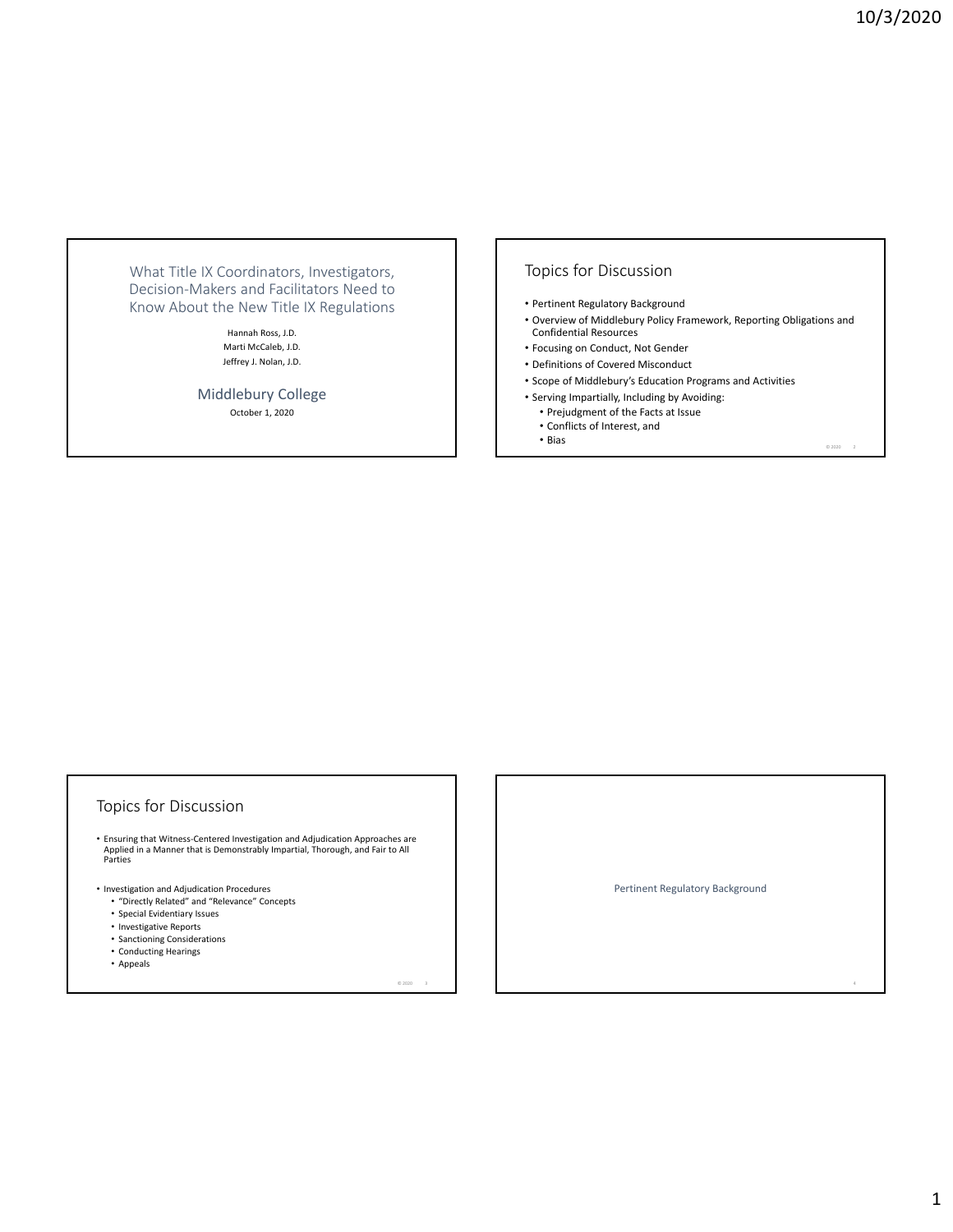What Title IX Coordinators, Investigators, Decision‐Makers and Facilitators Need to Know About the New Title IX Regulations

> Hannah Ross, J.D. Marti McCaleb, J.D. Jeffrey J. Nolan, J.D.

Middlebury College October 1, 2020

# Topics for Discussion

- Pertinent Regulatory Background
- Overview of Middlebury Policy Framework, Reporting Obligations and Confidential Resources
- Focusing on Conduct, Not Gender
- Definitions of Covered Misconduct
- Scope of Middlebury's Education Programs and Activities
- Serving Impartially, Including by Avoiding:
	- Prejudgment of the Facts at Issue
	- Conflicts of Interest, and • Bias  $\overline{a}$   $\overline{a}$   $\overline{a}$   $\overline{a}$   $\overline{a}$   $\overline{a}$   $\overline{a}$   $\overline{a}$   $\overline{a}$   $\overline{a}$   $\overline{a}$   $\overline{a}$   $\overline{a}$   $\overline{a}$   $\overline{a}$   $\overline{a}$   $\overline{a}$   $\overline{a}$   $\overline{a}$   $\overline{a}$   $\overline{a}$   $\overline{a}$   $\overline{a}$   $\overline{a}$

## Topics for Discussion

• Ensuring that Witness‐Centered Investigation and Adjudication Approaches are Applied in a Manner that is Demonstrably Impartial, Thorough, and Fair to All Parties

 $@ 2020$ 

- Investigation and Adjudication Procedures
	- "Directly Related" and "Relevance" Concepts
	- Special Evidentiary Issues
	- Investigative Reports
	- Sanctioning Considerations
	- Conducting Hearings
	- Appeals

Pertinent Regulatory Background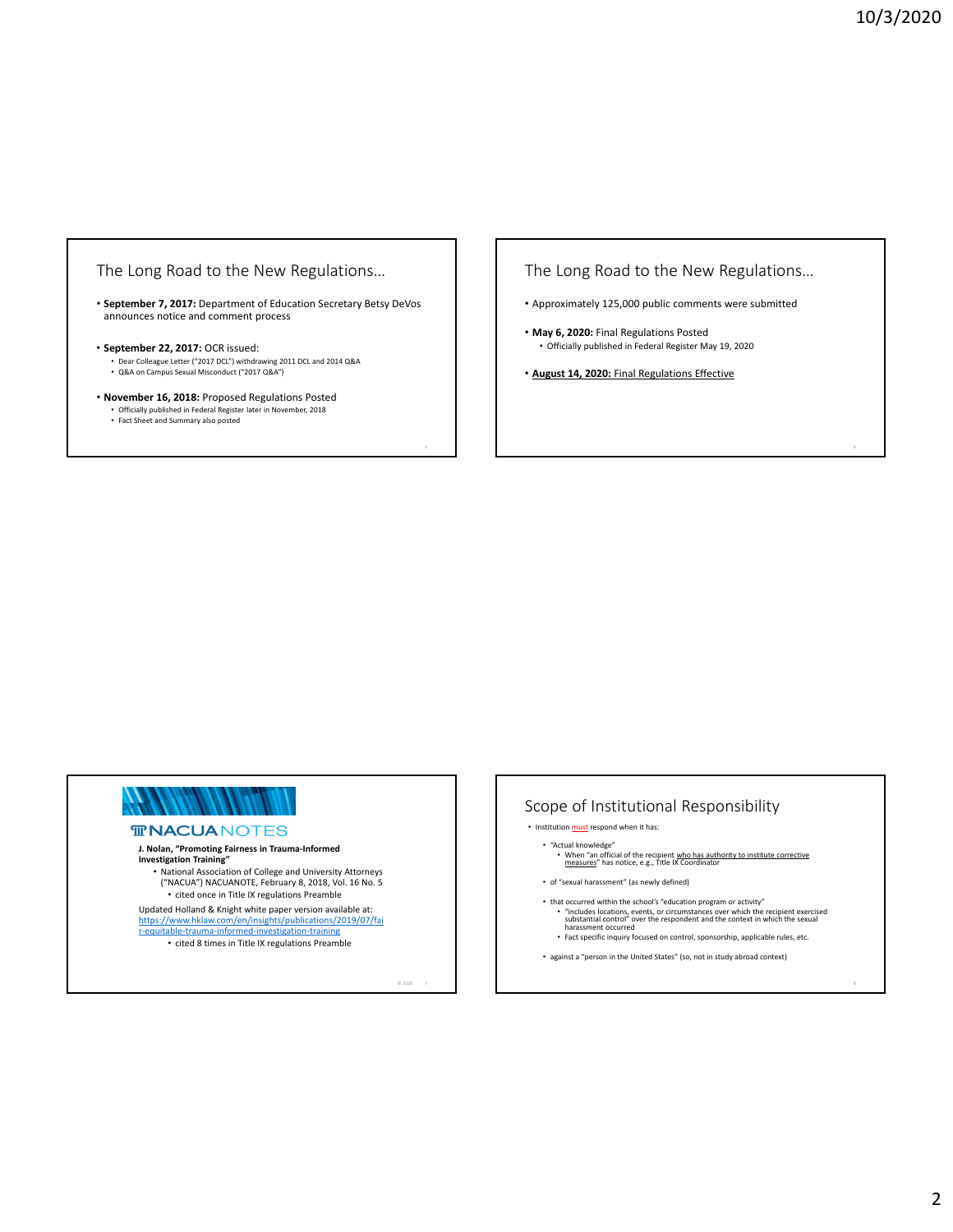## The Long Road to the New Regulations…

• **September 7, 2017:** Department of Education Secretary Betsy DeVos announces notice and comment process

#### • **September 22, 2017:** OCR issued:

• Dear Colleague Letter ("2017 DCL") withdrawing 2011 DCL and 2014 Q&A • Q&A on Campus Sexual Misconduct ("2017 Q&A")

- **November 16, 2018:** Proposed Regulations Posted
	- Officially published in Federal Register later in November, 2018 Fact Sheet and Summary also posted
	-

The Long Road to the New Regulations…

- Approximately 125,000 public comments were submitted
- **May 6, 2020:** Final Regulations Posted • Officially published in Federal Register May 19, 2020
- **August 14, 2020:** Final Regulations Effective



#### **TRACUANOTES**

# **J. Nolan, "Promoting Fairness in Trauma‐Informed Investigation Training"**

• National Association of College and University Attorneys ("NACUA") NACUANOTE, February 8, 2018, Vol. 16 No. 5 • cited once in Title IX regulations Preamble

Updated Holland & Knight white paper version available at: https://www.hklaw.com/en/insights/publications/2019/07/fai

r‐equitable‐trauma‐informed‐investigation‐training

• cited 8 times in Title IX regulations Preamble

 $@2020$  7

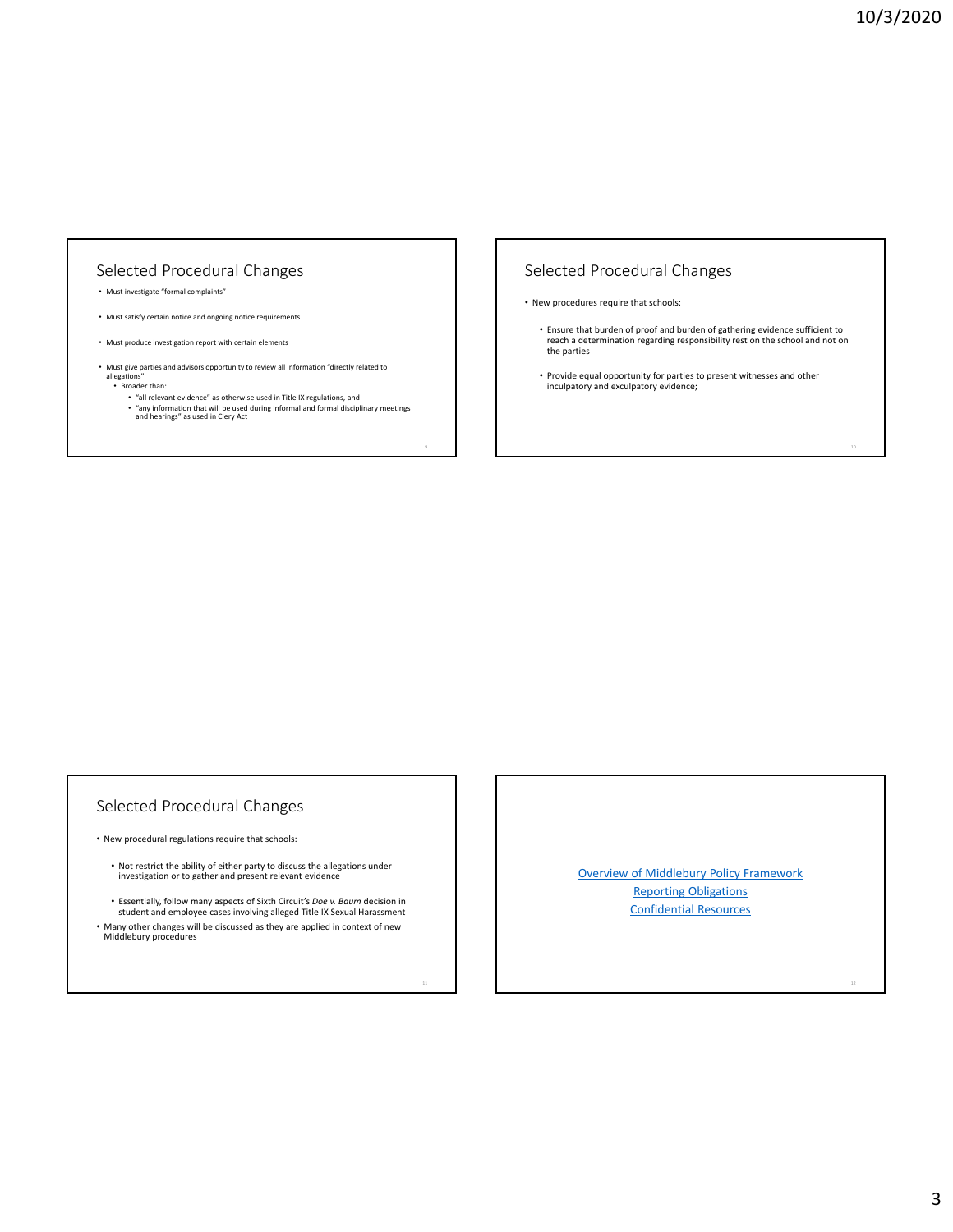# Selected Procedural Changes

- Must investigate "formal complaints"
- Must satisfy certain notice and ongoing notice requirements
- Must produce investigation report with certain elements
- Must give parties and advisors opportunity to review all information "directly related to allega
	- Broader than:
	- "all relevant evidence" as otherwise used in Title IX regulations, and<br>• "any information that will be used during informal and formal disciplinary meetings<br>• and hearings" as used in Clery Act

# Selected Procedural Changes

- New procedures require that schools:
	- Ensure that burden of proof and burden of gathering evidence sufficient to reach a determination regarding responsibility rest on the school and not on the parties
	- Provide equal opportunity for parties to present witnesses and other inculpatory and exculpatory evidence;

## Selected Procedural Changes

- New procedural regulations require that schools:
	- Not restrict the ability of either party to discuss the allegations under investigation or to gather and present relevant evidence
	- Essentially, follow many aspects of Sixth Circuit's *Doe v. Baum* decision in student and employee cases involving alleged Title IX Sexual Harassment
- Many other changes will be discussed as they are applied in context of new Middlebury procedures

Overview of Middlebury Policy Framework Reporting Obligations Confidential Resources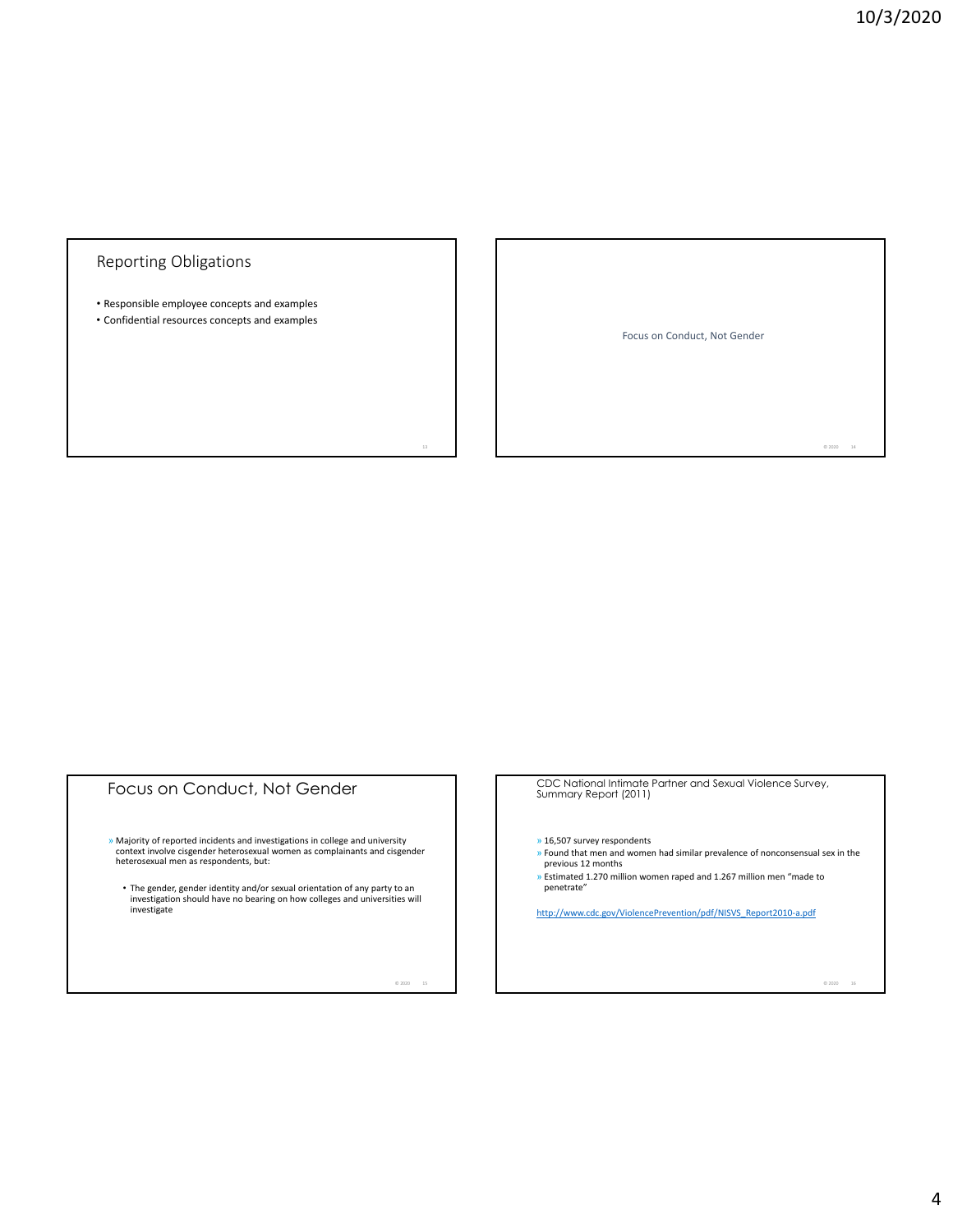# Reporting Obligations

• Responsible employee concepts and examples

• Confidential resources concepts and examples

Focus on Conduct, Not Gender

Focus on Conduct, Not Gender » Majority of reported incidents and investigations in college and university context involve cisgender heterosexual women as complainants and cisgender heterosexual men as respondents, but: • The gender, gender identity and/or sexual orientation of any party to an investigation should have no bearing on how colleges and universities will investigate

 $O 2020$ 

CDC National Intimate Partner and Sexual Violence Survey, Summary Report (2011)

» 16,507 survey respondents

- » Found that men and women had similar prevalence of nonconsensual sex in the previous 12 months
- » Estimated 1.270 million women raped and 1.267 million men "made to penetrate"

http://www.cdc.gov/ViolencePrevention/pdf/NISVS\_Report2010‐a.pdf

 $@2020$ 

 $@ 2020 14$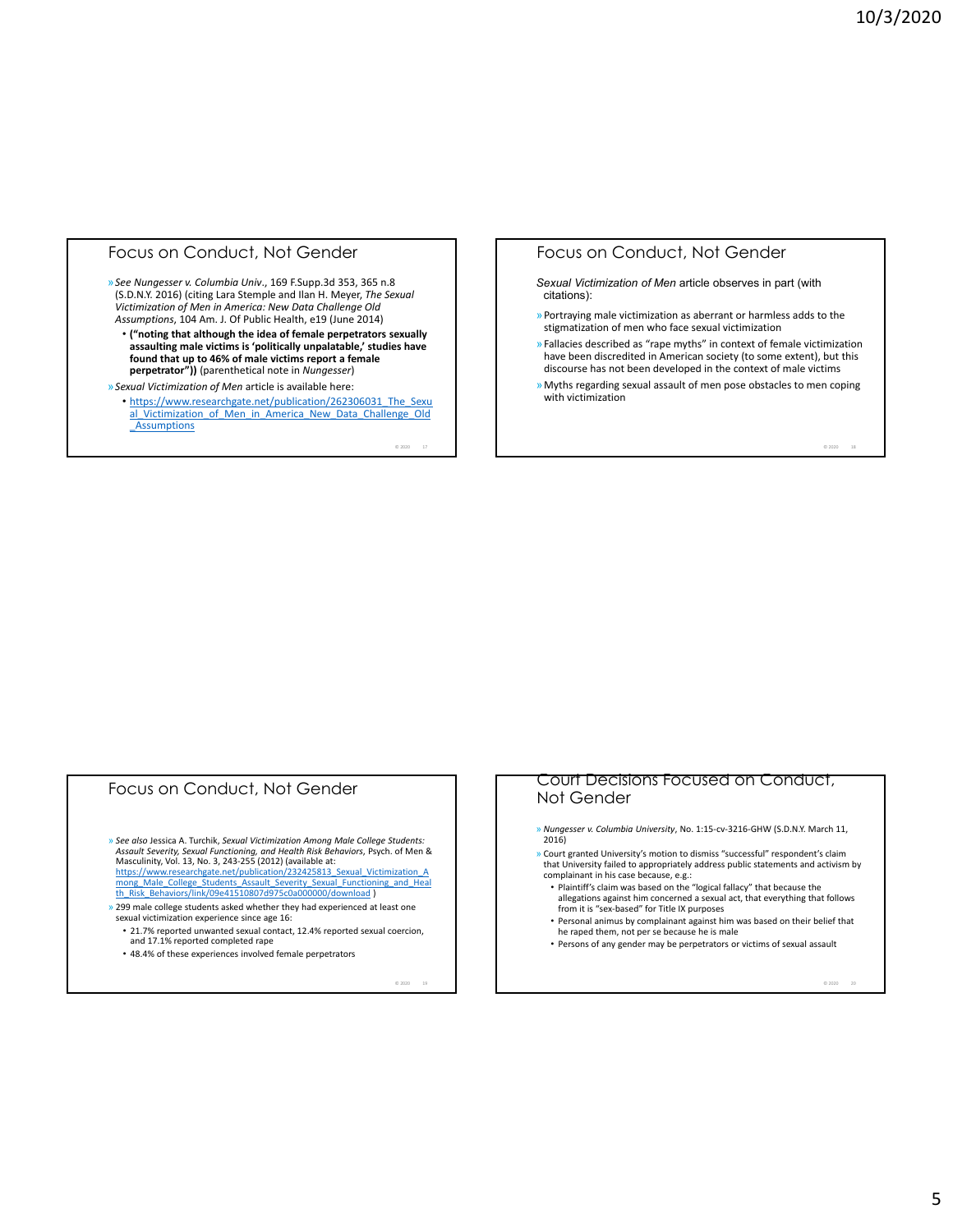### Focus on Conduct, Not Gender

»*See Nungesser v. Columbia Univ*., 169 F.Supp.3d 353, 365 n.8 (S.D.N.Y. 2016) (citing Lara Stemple and Ilan H. Meyer, *The Sexual Victimization of Men in America: New Data Challenge Old Assumptions*, 104 Am. J. Of Public Health, e19 (June 2014)

• **("noting that although the idea of female perpetrators sexually assaulting male victims is 'politically unpalatable,' studies have found that up to 46% of male victims report a female perpetrator"))** (parenthetical note in *Nungesser*)

»*Sexual Victimization of Men* article is available here: • https://www.researchgate.net/publication/262306031\_The\_Sexu al Victimization of Men in America New Data Challenge Old **Assumptions** 

 $@ 2020 17$ 

## Focus on Conduct, Not Gender

*Sexual Victimization of Men* article observes in part (with citations):

- »Portraying male victimization as aberrant or harmless adds to the stigmatization of men who face sexual victimization
- »Fallacies described as "rape myths" in context of female victimization have been discredited in American society (to some extent), but this discourse has not been developed in the context of male victims
- »Myths regarding sexual assault of men pose obstacles to men coping with victimization

 $@ 2020 18$ 

# Focus on Conduct, Not Gender

» See also Jessica A. Turchik, Sexual Victimization Among Male College Students:<br>Assault Severity, Sexual Functioning, and Health Risk Behaviors, Psych. of Men & Masculinity, Vol. 13, No. 3, 243‐255 (2012) (available at:

https://www.researchgate.net/publication/232425813\_Sexual\_Victimization\_A<br>mong\_Male\_College\_Students\_Assault\_Severity\_Sexual\_Functioning\_and\_Heal th\_Risk\_Behaviors/link/09e41510807d975c0a000000/download )

- » 299 male college students asked whether they had experienced at least one sexual victimization experience since age 16:
	- 21.7% reported unwanted sexual contact, 12.4% reported sexual coercion, and 17.1% reported completed rape
	- 48.4% of these experiences involved female perpetrators

© 2020 19

#### Court Decisions Focused on Conduct, Not Gender

- » *Nungesser v. Columbia University*, No. 1:15‐cv‐3216‐GHW (S.D.N.Y. March 11, 2016)
- » Court granted University's motion to dismiss "successful" respondent's claim that University failed to appropriately address public statements and activism by complainant in his case because, e.g.:
- Plaintiff's claim was based on the "logical fallacy" that because the allegations against him concerned a sexual act, that everything that follows from it is "sex-based" for Title IX purposes
- Personal animus by complainant against him was based on their belief that he raped them, not per se because he is male
- Persons of any gender may be perpetrators or victims of sexual assault

© 2020 20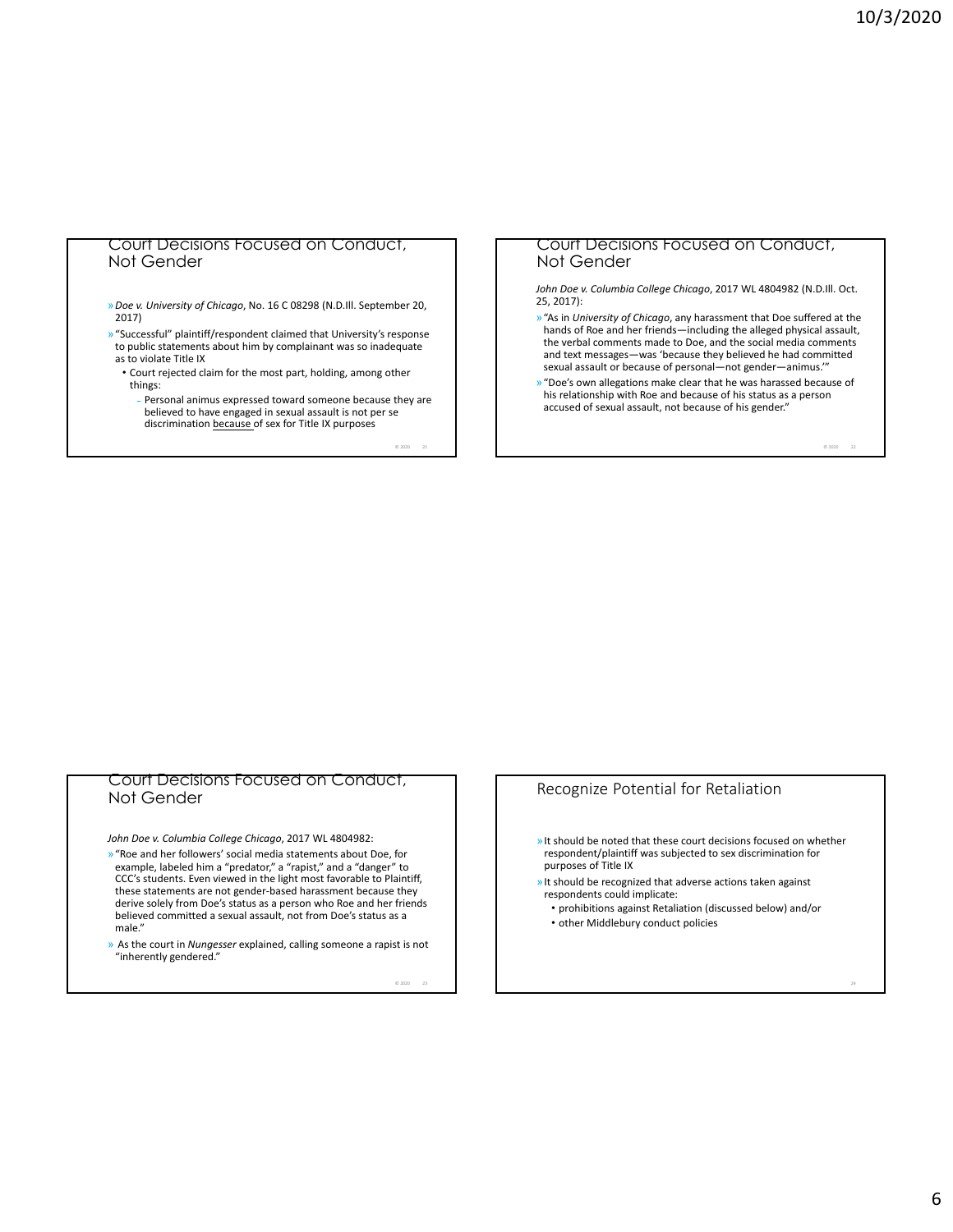## Court Decisions Focused on Conduct, Not Gender

»*Doe v. University of Chicago*, No. 16 C 08298 (N.D.Ill. September 20, 2017)

»"Successful" plaintiff/respondent claimed that University's response to public statements about him by complainant was so inadequate as to violate Title IX

• Court rejected claim for the most part, holding, among other things:

Personal animus expressed toward someone because they are believed to have engaged in sexual assault is not per se discrimination because of sex for Title IX purposes

 $@2020$ 

#### Court Decisions Focused on Conduct, Not Gender

*John Doe v. Columbia College Chicago*, 2017 WL 4804982 (N.D.Ill. Oct. 25, 2017):

- »"As in *University of Chicago*, any harassment that Doe suffered at the hands of Roe and her friends—including the alleged physical assault, the verbal comments made to Doe, and the social media comments and text messages—was 'because they believed he had committed sexual assault or because of personal—not gender—animus.'"
- »"Doe's own allegations make clear that he was harassed because of his relationship with Roe and because of his status as a person accused of sexual assault, not because of his gender."

 $@ 2020$ 

#### Court Decisions Focused on Conduct, Not Gender

*John Doe v. Columbia College Chicago*, 2017 WL 4804982:

- »"Roe and her followers' social media statements about Doe, for example, labeled him a "predator," a "rapist," and a "danger" to CCC's students. Even viewed in the light most favorable to Plaintiff, these statements are not gender-based harassment because they derive solely from Doe's status as a person who Roe and her friends believed committed a sexual assault, not from Doe's status as a male."
- » As the court in *Nungesser* explained, calling someone a rapist is not "inherently gendered."

© 2020 23

## Recognize Potential for Retaliation

- »It should be noted that these court decisions focused on whether respondent/plaintiff was subjected to sex discrimination for purposes of Title IX
- »It should be recognized that adverse actions taken against respondents could implicate:
	- prohibitions against Retaliation (discussed below) and/or • other Middlebury conduct policies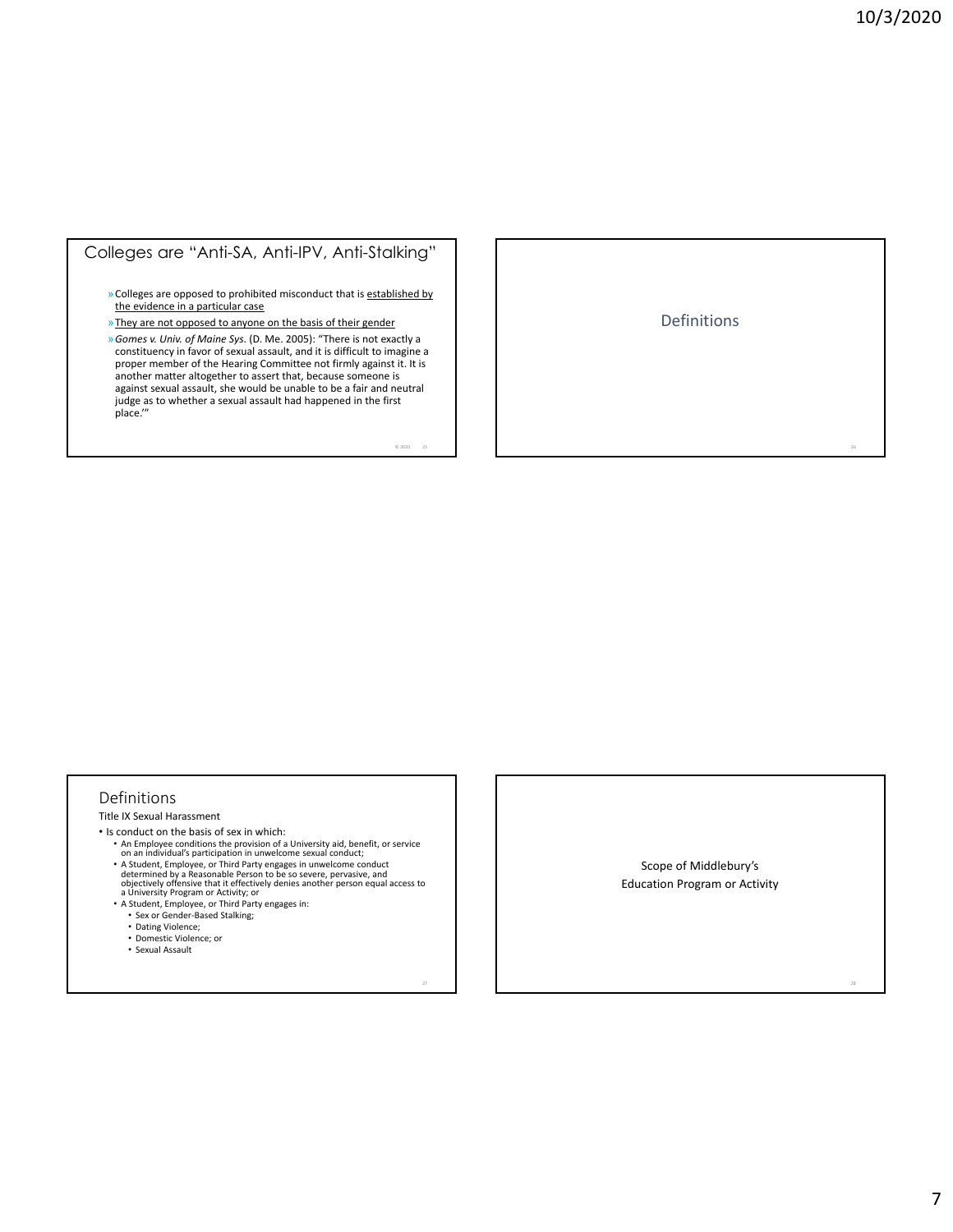## Colleges are "Anti-SA, Anti-IPV, Anti-Stalking"

»Colleges are opposed to prohibited misconduct that is established by the evidence in a particular case

»They are not opposed to anyone on the basis of their gender

»*Gomes v. Univ. of Maine Sys*. (D. Me. 2005): "There is not exactly a constituency in favor of sexual assault, and it is difficult to imagine a proper member of the Hearing Committee not firmly against it. It is another matter altogether to assert that, because someone is against sexual assault, she would be unable to be a fair and neutral judge as to whether a sexual assault had happened in the first place.'"

 $02020$   $25$ 

Definitions

#### Definitions

Title IX Sexual Harassment

- Is conduct on the basis of sex in which:
	- An Employee conditions the provision of a University aid, benefit, or service on an individual's participation in unwelcome sexual conduct;
	-
	- A Student, Employee, or Third Party engages in unwelcome conduct<br>determined by a Reasonable Person to be so severe, pervasive, and<br>objectively offensive that it effectively denies another person equal access to<br>a Univers
	- Sex or Gender‐Based Stalking;
	-
	- Dating Violence; • Domestic Violence; or
	- Sexual Assault

Scope of Middlebury's Education Program or Activity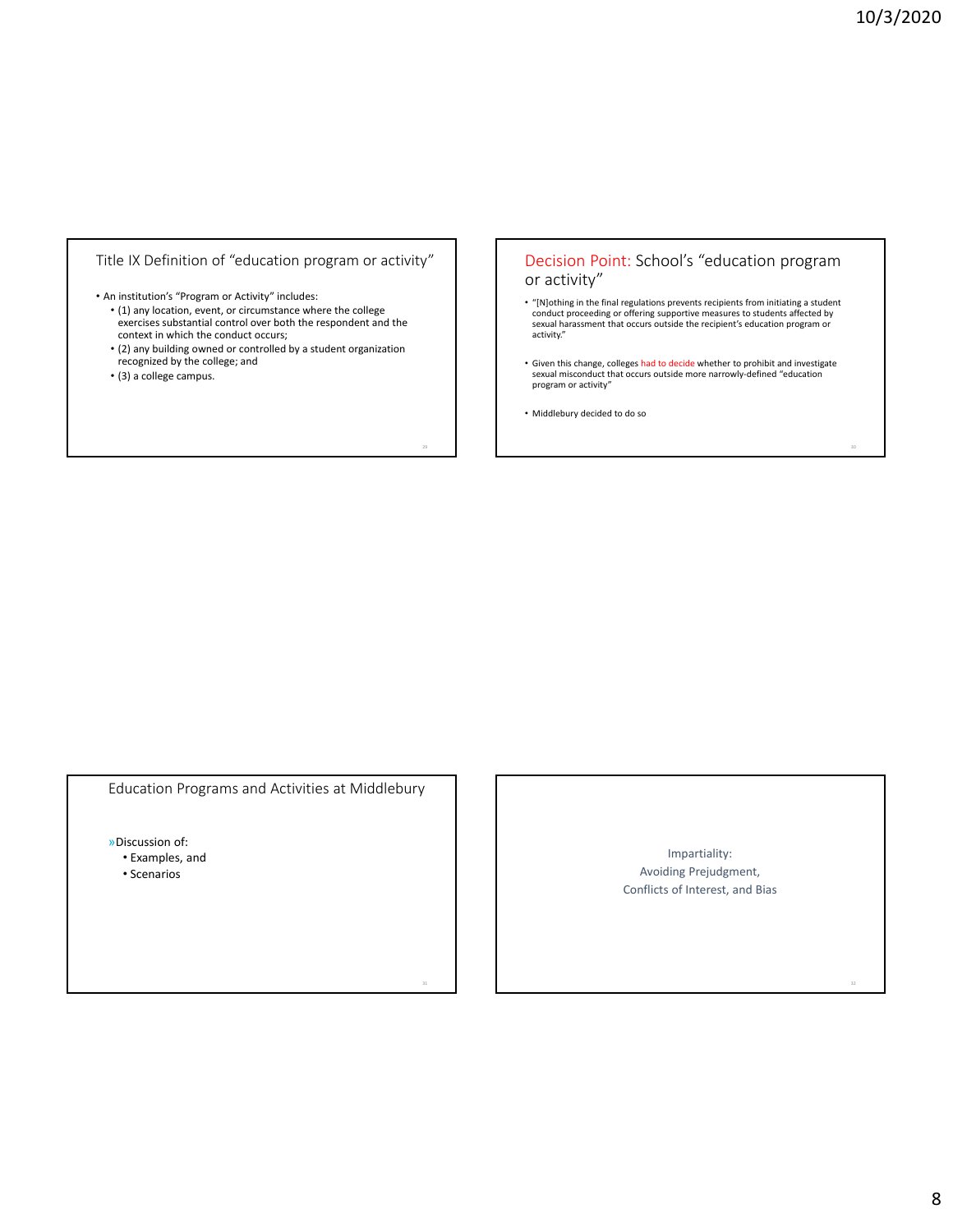## Title IX Definition of "education program or activity"

• An institution's "Program or Activity" includes:

- (1) any location, event, or circumstance where the college exercises substantial control over both the respondent and the context in which the conduct occurs;
- (2) any building owned or controlled by a student organization recognized by the college; and
- (3) a college campus.

## Decision Point: School's "education program or activity"

- "[N]othing in the final regulations prevents recipients from initiating a student<br>conduct proceeding or offering supportive measures to students affected by<br>sexual harassment that occurs outside the recipient's education
- Given this change, colleges had to decide whether to prohibit and investigate<br>sexual misconduct that occurs outside more narrowly-defined "education program or activity"
- Middlebury decided to do so

Education Programs and Activities at Middlebury

»Discussion of:

- Examples, and
- Scenarios

Impartiality: Avoiding Prejudgment, Conflicts of Interest, and Bias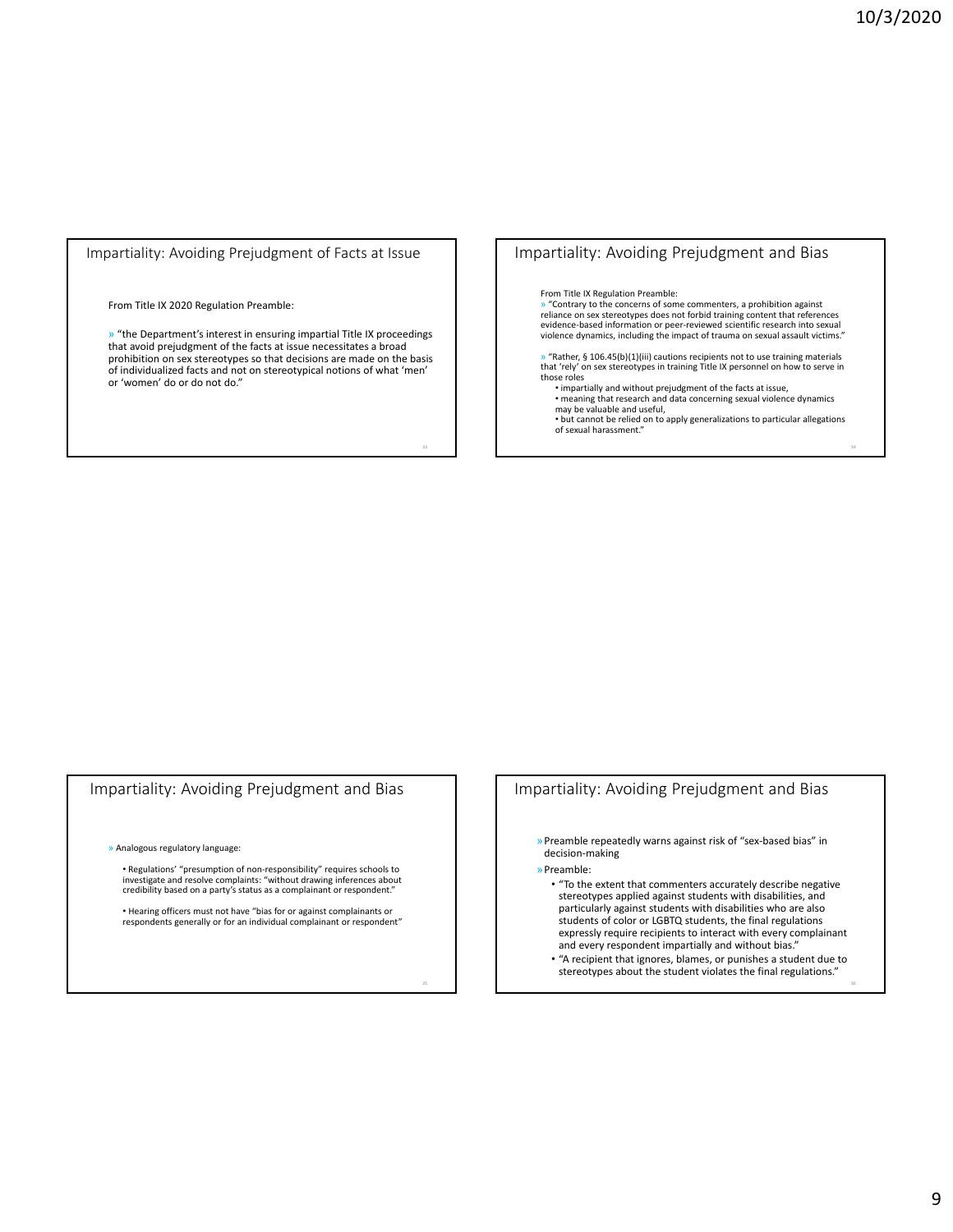Impartiality: Avoiding Prejudgment of Facts at Issue

#### From Title IX 2020 Regulation Preamble:

» "the Department's interest in ensuring impartial Title IX proceedings that avoid prejudgment of the facts at issue necessitates a broad prohibition on sex stereotypes so that decisions are made on the basis of individualized facts and not on stereotypical notions of what 'men' or 'women' do or do not do."

## Impartiality: Avoiding Prejudgment and Bias

#### From Title IX Regulation Preamble:

» "Contrary to the concerns of some commenters, a prohibition against reliance on sex stereotypes does not forbid training content that references evidence‐based information or peer‐reviewed scientific research into sexual violence dynamics, including the impact of trauma on sexual assault victims."

» "Rather, § 106.45(b)(1)(iii) cautions recipients not to use training materials that 'rely' on sex stereotypes in training Title IX personnel on how to serve in those roles

• impartially and without prejudgment of the facts at issue, • meaning that research and data concerning sexual violence dynamics

may be valuable and useful, • but cannot be relied on to apply generalizations to particular allegations of sexual harassment."

## Impartiality: Avoiding Prejudgment and Bias

» Analogous regulatory language:

• Regulations' "presumption of non‐responsibility" requires schools to investigate and resolve complaints: "without drawing inferences about credibility based on a party's status as a complainant or respondent."

• Hearing officers must not have "bias for or against complainants or respondents generally or for an individual complainant or respondent"

## Impartiality: Avoiding Prejudgment and Bias

»Preamble repeatedly warns against risk of "sex‐based bias" in decision‐making

»Preamble:

- "To the extent that commenters accurately describe negative stereotypes applied against students with disabilities, and particularly against students with disabilities who are also students of color or LGBTQ students, the final regulations expressly require recipients to interact with every complainant and every respondent impartially and without bias.
- "A recipient that ignores, blames, or punishes a student due to stereotypes about the student violates the final regulations."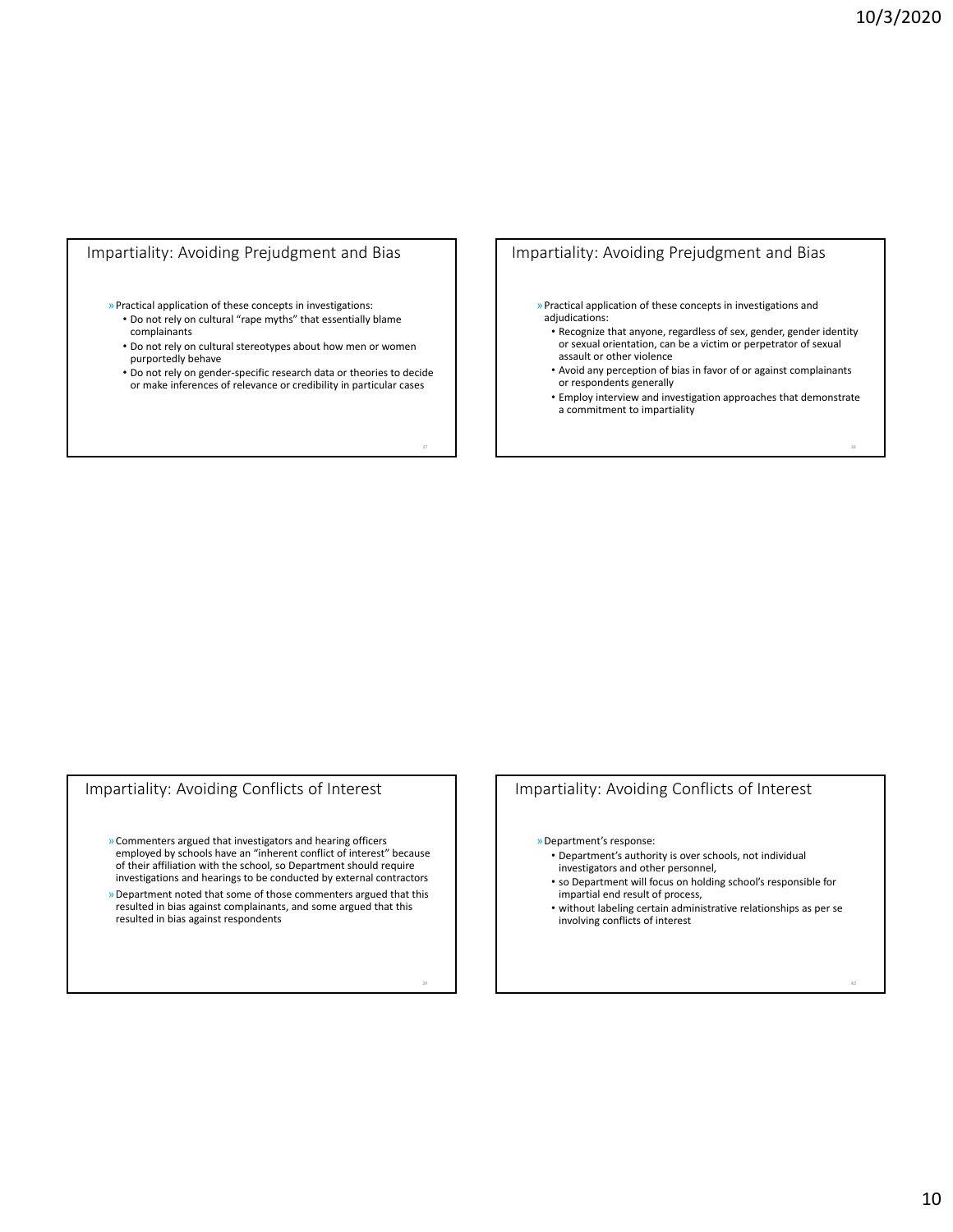## Impartiality: Avoiding Prejudgment and Bias

#### »Practical application of these concepts in investigations: • Do not rely on cultural "rape myths" that essentially blame

- complainants
- Do not rely on cultural stereotypes about how men or women purportedly behave
- Do not rely on gender‐specific research data or theories to decide or make inferences of relevance or credibility in particular cases

## Impartiality: Avoiding Prejudgment and Bias

- »Practical application of these concepts in investigations and adjudications:
	- Recognize that anyone, regardless of sex, gender, gender identity or sexual orientation, can be a victim or perpetrator of sexual assault or other violence
	- Avoid any perception of bias in favor of or against complainants or respondents generally
	- Employ interview and investigation approaches that demonstrate a commitment to impartiality

## Impartiality: Avoiding Conflicts of Interest

- »Commenters argued that investigators and hearing officers employed by schools have an "inherent conflict of interest" because of their affiliation with the school, so Department should require investigations and hearings to be conducted by external contractors
- »Department noted that some of those commenters argued that this resulted in bias against complainants, and some argued that this resulted in bias against respondents

## Impartiality: Avoiding Conflicts of Interest

»Department's response:

- Department's authority is over schools, not individual investigators and other personnel,
- so Department will focus on holding school's responsible for impartial end result of process,
- without labeling certain administrative relationships as per se involving conflicts of interest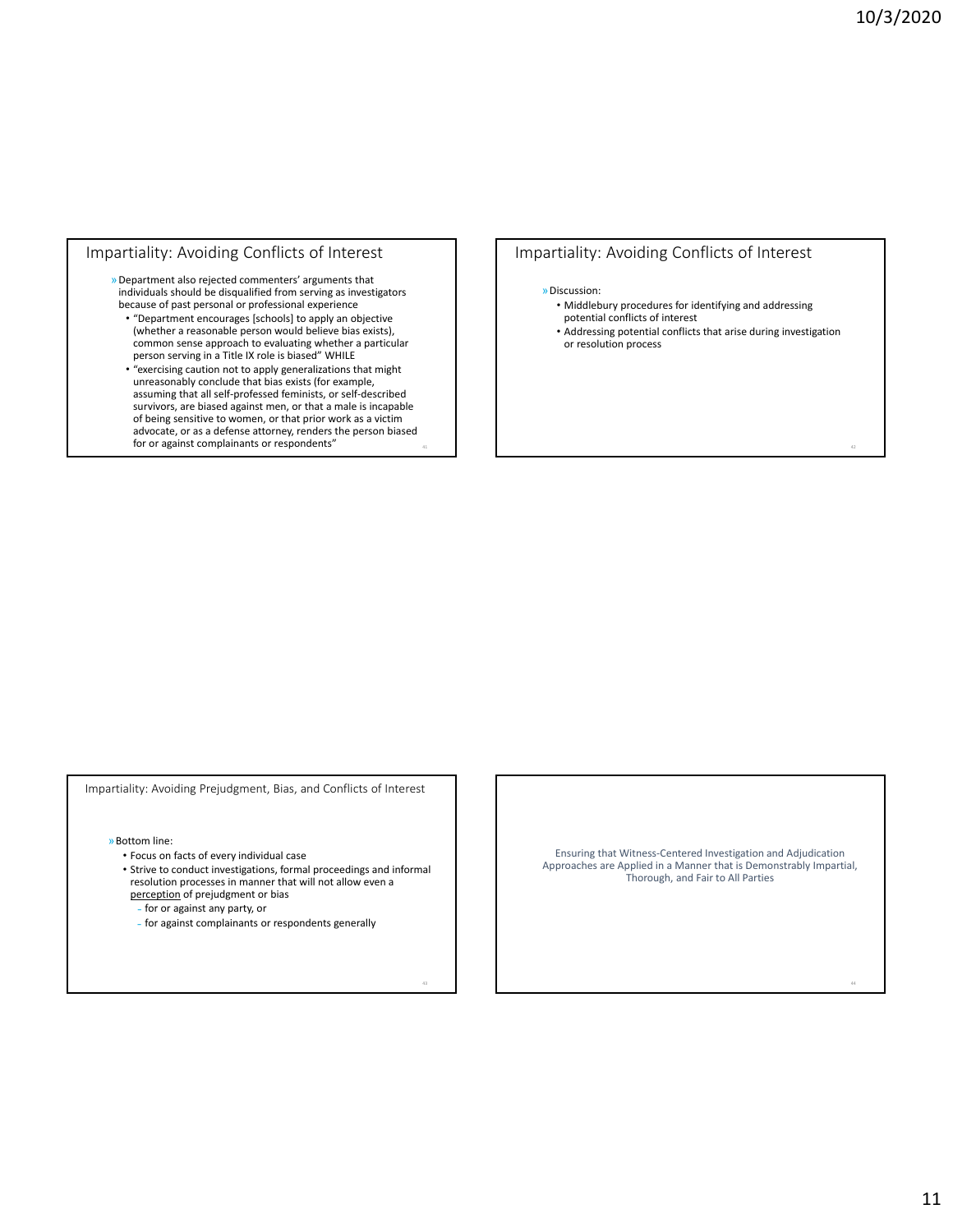## Impartiality: Avoiding Conflicts of Interest

- »Department also rejected commenters' arguments that individuals should be disqualified from serving as investigators because of past personal or professional experience
	- "Department encourages [schools] to apply an objective (whether a reasonable person would believe bias exists), common sense approach to evaluating whether a particular person serving in a Title IX role is biased" WHILE
	- "exercising caution not to apply generalizations that might unreasonably conclude that bias exists (for example, assuming that all self‐professed feminists, or self‐described survivors, are biased against men, or that a male is incapable of being sensitive to women, or that prior work as a victim advocate, or as a defense attorney, renders the person biased for or against complainants or respondents"

## Impartiality: Avoiding Conflicts of Interest

#### »Discussion:

- Middlebury procedures for identifying and addressing potential conflicts of interest
- Addressing potential conflicts that arise during investigation or resolution process

Impartiality: Avoiding Prejudgment, Bias, and Conflicts of Interest

»Bottom line:

- Focus on facts of every individual case
- Strive to conduct investigations, formal proceedings and informal resolution processes in manner that will not allow even a perception of prejudgment or bias

˗ for or against any party, or

˗ for against complainants or respondents generally

Ensuring that Witness‐Centered Investigation and Adjudication Approaches are Applied in a Manner that is Demonstrably Impartial, Thorough, and Fair to All Parties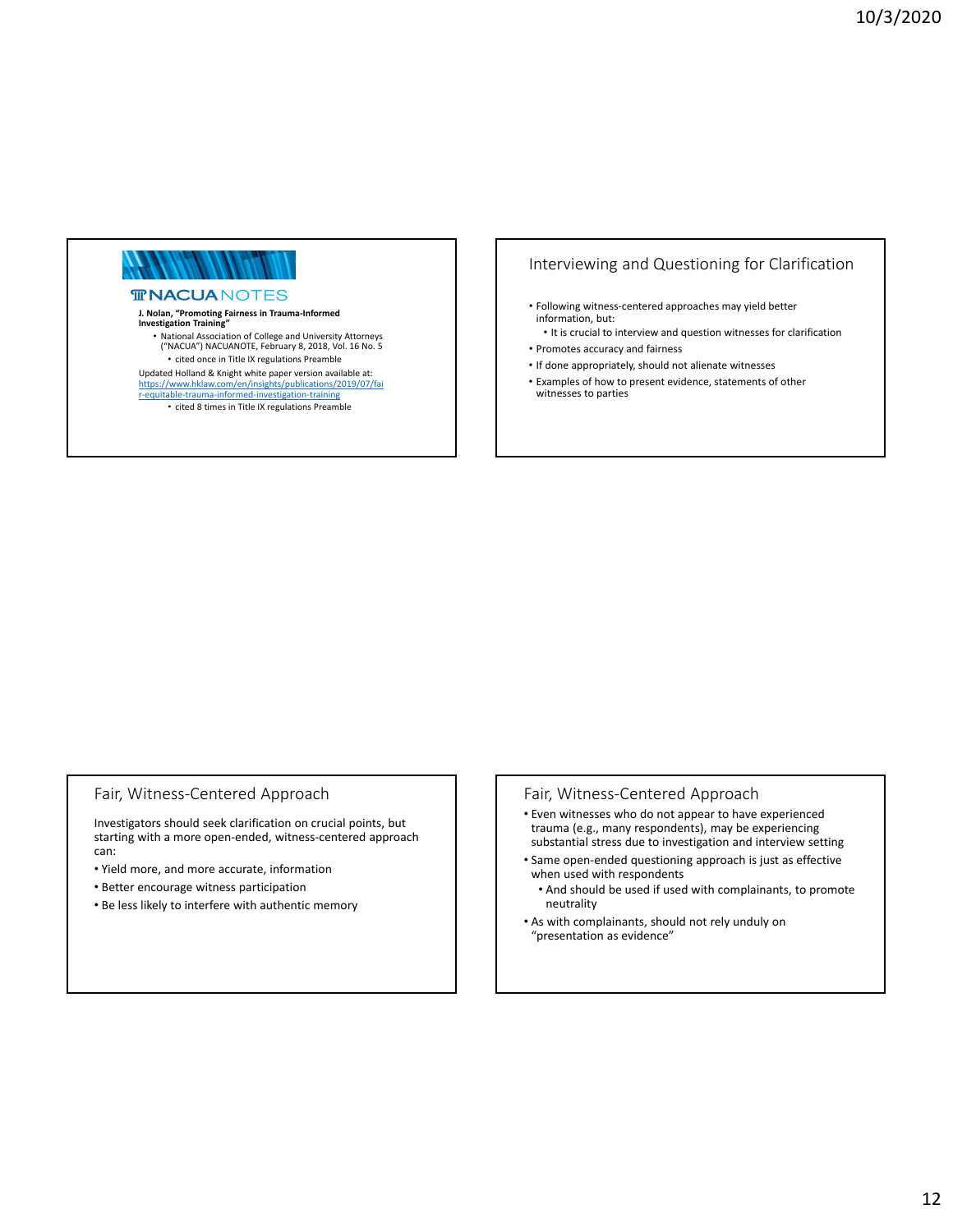# *MANANI* NI NIN

#### **TRACUANOTES**

#### **J. Nolan, "Promoting Fairness in Trauma‐Informed Investigation Training"**

• National Association of College and University Attorneys ("NACUA") NACUANOTE, February 8, 2018, Vol. 16 No. 5 • cited once in Title IX regulations Preamble

Updated Holland & Knight white paper version available at:

https://www.hklaw.com/en/insights/publications/2019/07/fai r‐equitable‐trauma‐informed‐investigation‐training

• cited 8 times in Title IX regulations Preamble

# Interviewing and Questioning for Clarification

- Following witness‐centered approaches may yield better information, but:
	- It is crucial to interview and question witnesses for clarification
- Promotes accuracy and fairness
- If done appropriately, should not alienate witnesses
- Examples of how to present evidence, statements of other witnesses to parties

## Fair, Witness‐Centered Approach

Investigators should seek clarification on crucial points, but starting with a more open‐ended, witness‐centered approach can:

- Yield more, and more accurate, information
- Better encourage witness participation
- Be less likely to interfere with authentic memory

#### Fair, Witness‐Centered Approach

- Even witnesses who do not appear to have experienced trauma (e.g., many respondents), may be experiencing substantial stress due to investigation and interview setting
- Same open‐ended questioning approach is just as effective when used with respondents
	- And should be used if used with complainants, to promote neutrality
- As with complainants, should not rely unduly on "presentation as evidence"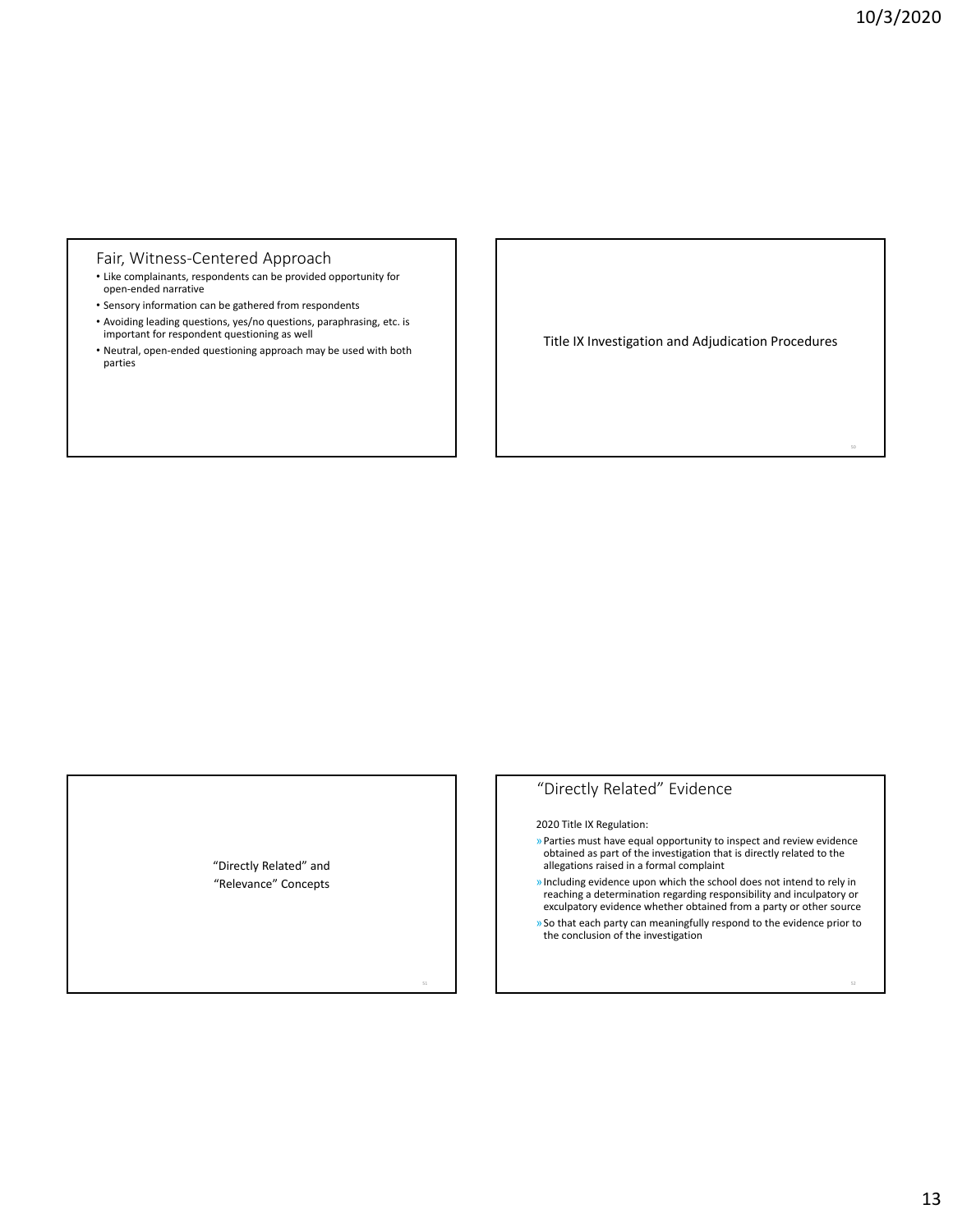#### Fair, Witness‐Centered Approach

- Like complainants, respondents can be provided opportunity for open‐ended narrative
- Sensory information can be gathered from respondents
- Avoiding leading questions, yes/no questions, paraphrasing, etc. is important for respondent questioning as well
- Neutral, open‐ended questioning approach may be used with both parties

Title IX Investigation and Adjudication Procedures

## "Directly Related" and "Relevance" Concepts

# "Directly Related" Evidence

2020 Title IX Regulation:

- »Parties must have equal opportunity to inspect and review evidence obtained as part of the investigation that is directly related to the allegations raised in a formal complaint
- »Including evidence upon which the school does not intend to rely in reaching a determination regarding responsibility and inculpatory or exculpatory evidence whether obtained from a party or other source
- »So that each party can meaningfully respond to the evidence prior to the conclusion of the investigation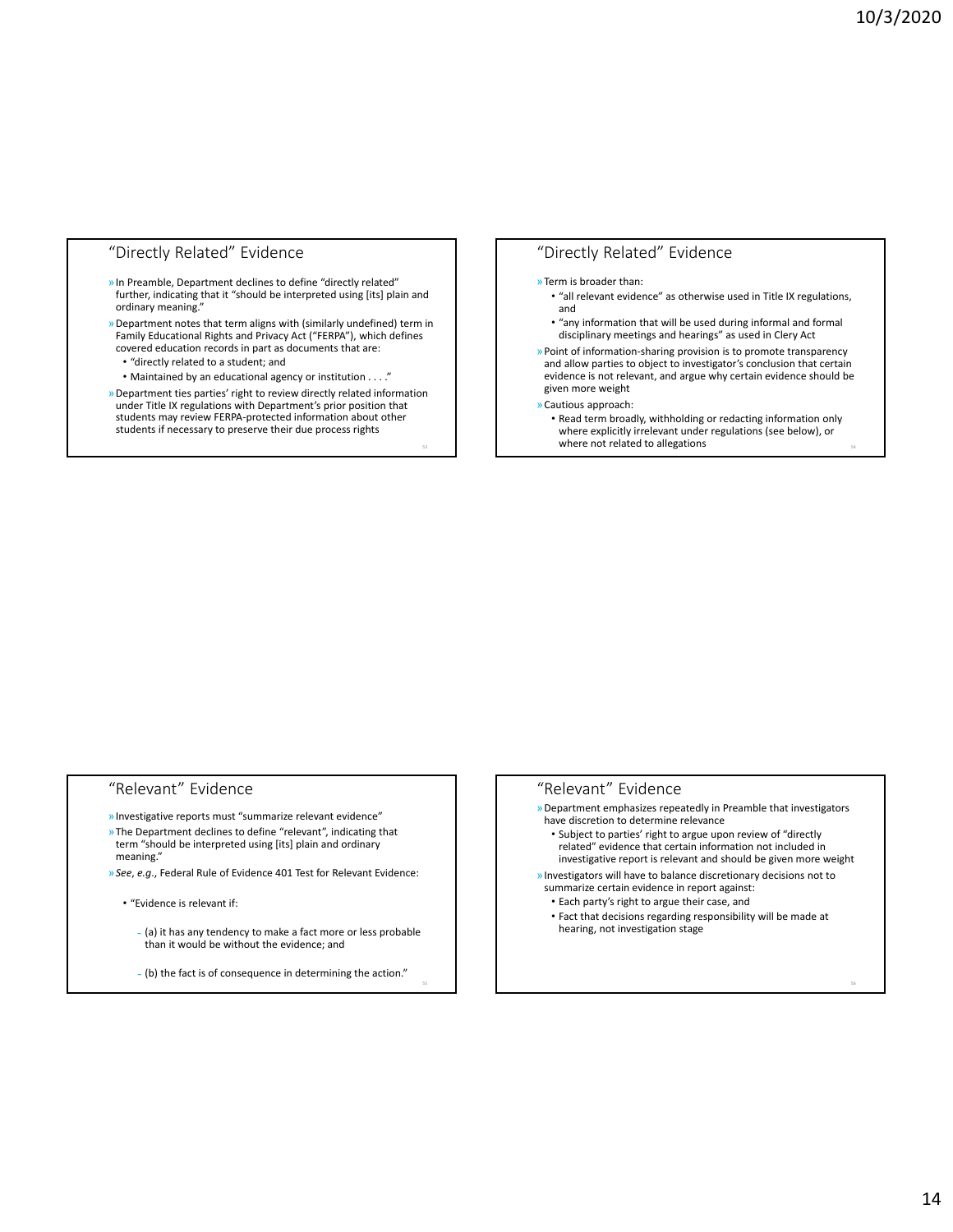## "Directly Related" Evidence

- »In Preamble, Department declines to define "directly related" further, indicating that it "should be interpreted using [its] plain and ordinary meaning."
- »Department notes that term aligns with (similarly undefined) term in Family Educational Rights and Privacy Act ("FERPA"), which defines covered education records in part as documents that are:
	- "directly related to a student; and
	- Maintained by an educational agency or institution . . . ."
- »Department ties parties' right to review directly related information under Title IX regulations with Department's prior position that students may review FERPA‐protected information about other students if necessary to preserve their due process rights

## "Directly Related" Evidence

#### »Term is broader than:

- "all relevant evidence" as otherwise used in Title IX regulations, and
- "any information that will be used during informal and formal disciplinary meetings and hearings" as used in Clery Act
- »Point of information‐sharing provision is to promote transparency and allow parties to object to investigator's conclusion that certain evidence is not relevant, and argue why certain evidence should be given more weight
- »Cautious approach:
	- Read term broadly, withholding or redacting information only where explicitly irrelevant under regulations (see below), or where not related to allegations

# "Relevant" Evidence

- »Investigative reports must "summarize relevant evidence"
- »The Department declines to define "relevant", indicating that term "should be interpreted using [its] plain and ordinary meaning."
- »*See*, *e.g*., Federal Rule of Evidence 401 Test for Relevant Evidence:
	- "Evidence is relevant if:
		- ˗ (a) it has any tendency to make a fact more or less probable than it would be without the evidence; and
		- ˗ (b) the fact is of consequence in determining the action."

## "Relevant" Evidence

- »Department emphasizes repeatedly in Preamble that investigators have discretion to determine relevance
	- Subject to parties' right to argue upon review of "directly related" evidence that certain information not included in investigative report is relevant and should be given more weight
- »Investigators will have to balance discretionary decisions not to summarize certain evidence in report against:
	- Each party's right to argue their case, and
- Fact that decisions regarding responsibility will be made at hearing, not investigation stage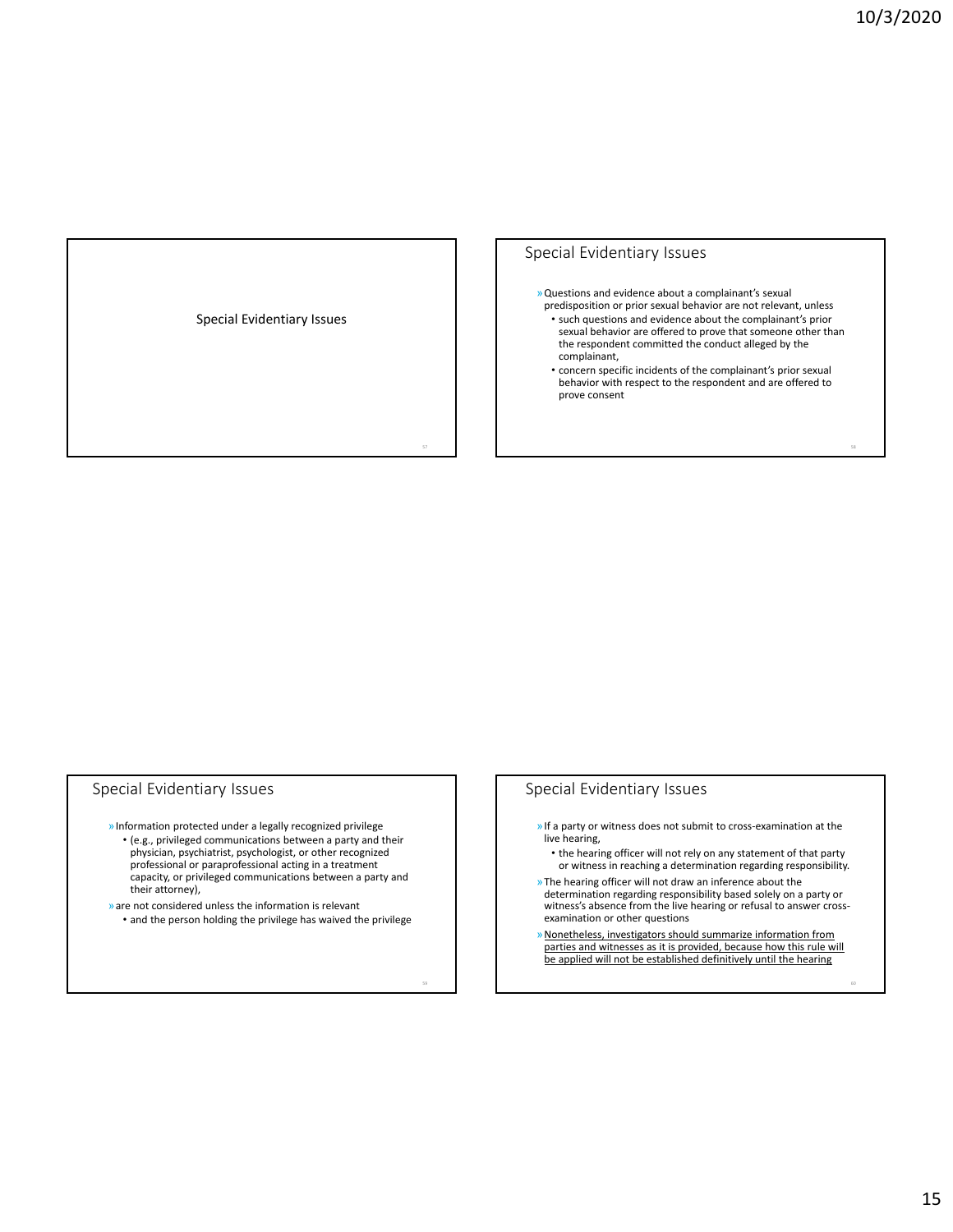Special Evidentiary Issues

#### Special Evidentiary Issues

- »Questions and evidence about a complainant's sexual predisposition or prior sexual behavior are not relevant, unless
	- such questions and evidence about the complainant's prior sexual behavior are offered to prove that someone other than the respondent committed the conduct alleged by the complainant,
	- concern specific incidents of the complainant's prior sexual behavior with respect to the respondent and are offered to prove consent

#### Special Evidentiary Issues

- »Information protected under a legally recognized privilege
	- (e.g., privileged communications between a party and their physician, psychiatrist, psychologist, or other recognized professional or paraprofessional acting in a treatment capacity, or privileged communications between a party and their attorney),
- »are not considered unless the information is relevant • and the person holding the privilege has waived the privilege

## Special Evidentiary Issues

- »If a party or witness does not submit to cross‐examination at the live hearing,
	- the hearing officer will not rely on any statement of that party or witness in reaching a determination regarding responsibility.
- »The hearing officer will not draw an inference about the determination regarding responsibility based solely on a party or witness's absence from the live hearing or refusal to answer crossexamination or other questions
- »Nonetheless, investigators should summarize information from parties and witnesses as it is provided, because how this rule will be applied will not be established definitively until the hearing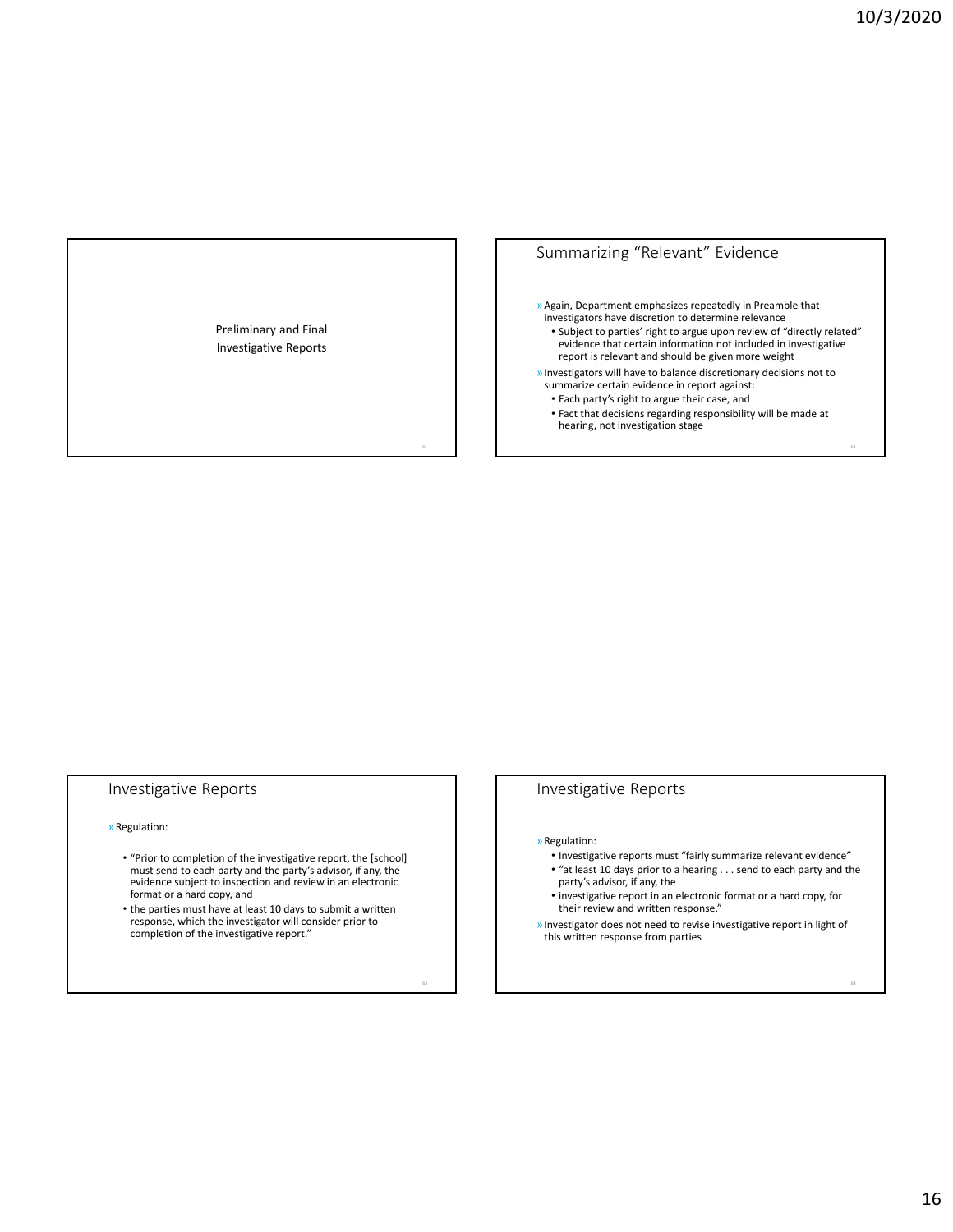Preliminary and Final Investigative Reports

# Summarizing "Relevant" Evidence

»Again, Department emphasizes repeatedly in Preamble that investigators have discretion to determine relevance

- Subject to parties' right to argue upon review of "directly related" evidence that certain information not included in investigative report is relevant and should be given more weight
- »Investigators will have to balance discretionary decisions not to summarize certain evidence in report against: • Each party's right to argue their case, and
	- Fact that decisions regarding responsibility will be made at hearing, not investigation stage

## Investigative Reports

#### »Regulation:

- "Prior to completion of the investigative report, the [school] must send to each party and the party's advisor, if any, the evidence subject to inspection and review in an electronic format or a hard copy, and
- the parties must have at least 10 days to submit a written response, which the investigator will consider prior to completion of the investigative report."

#### Investigative Reports

»Regulation:

- Investigative reports must "fairly summarize relevant evidence" • "at least 10 days prior to a hearing . . . send to each party and the
- party's advisor, if any, the
- investigative report in an electronic format or a hard copy, for their review and written response."
- »Investigator does not need to revise investigative report in light of this written response from parties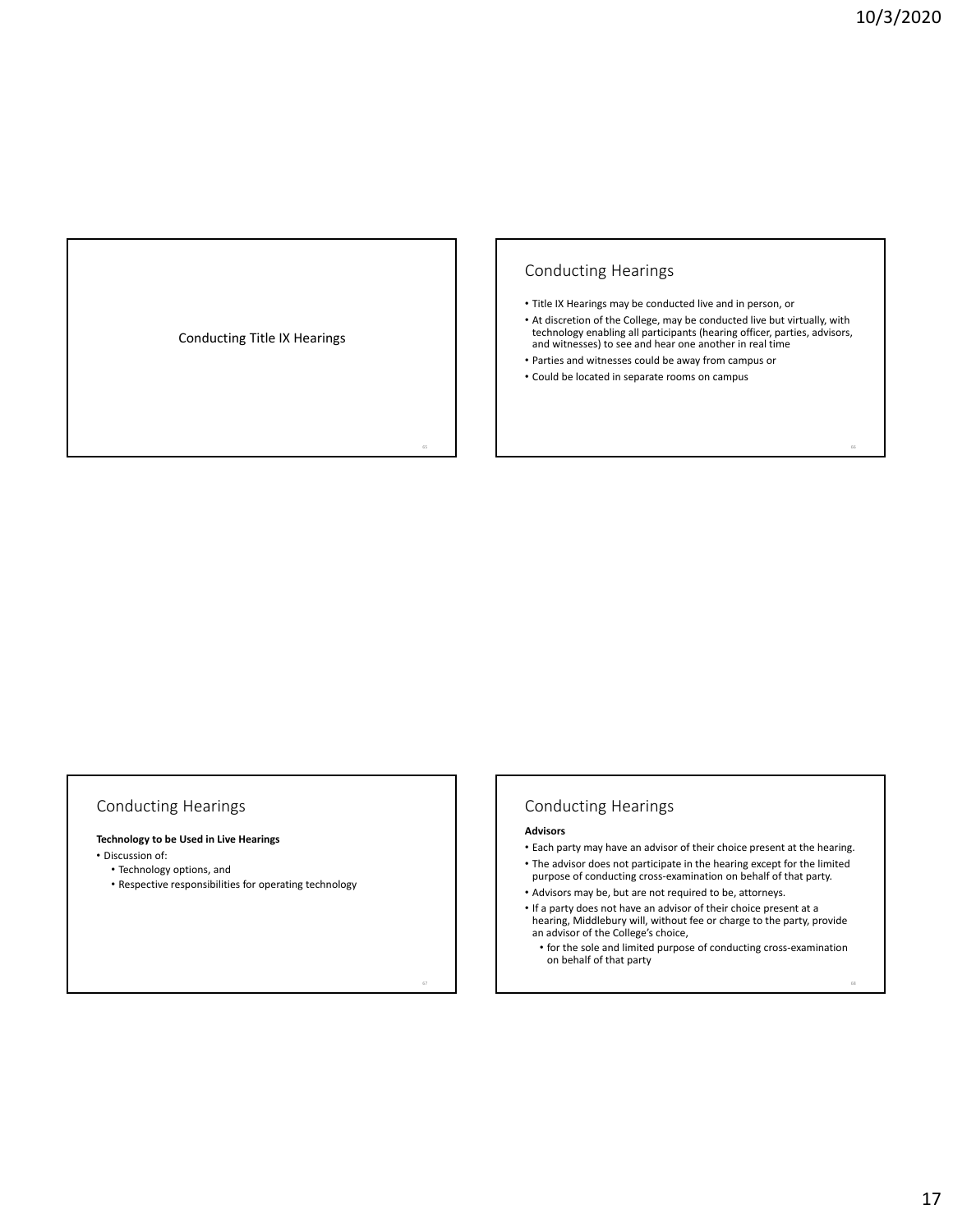Conducting Title IX Hearings

## Conducting Hearings

- Title IX Hearings may be conducted live and in person, or
- At discretion of the College, may be conducted live but virtually, with technology enabling all participants (hearing officer, parties, advisors, and witnesses) to see and hear one another in real time
- Parties and witnesses could be away from campus or
- Could be located in separate rooms on campus

## Conducting Hearings

## **Technology to be Used in Live Hearings**

- Discussion of:
	- Technology options, and
	- Respective responsibilities for operating technology

## Conducting Hearings

#### **Advisors**

- Each party may have an advisor of their choice present at the hearing.
- The advisor does not participate in the hearing except for the limited purpose of conducting cross‐examination on behalf of that party.
- 
- Advisors may be, but are not required to be, attorneys.
- If a party does not have an advisor of their choice present at a hearing, Middlebury will, without fee or charge to the party, provide an advisor of the College's choice,
- for the sole and limited purpose of conducting cross‐examination on behalf of that party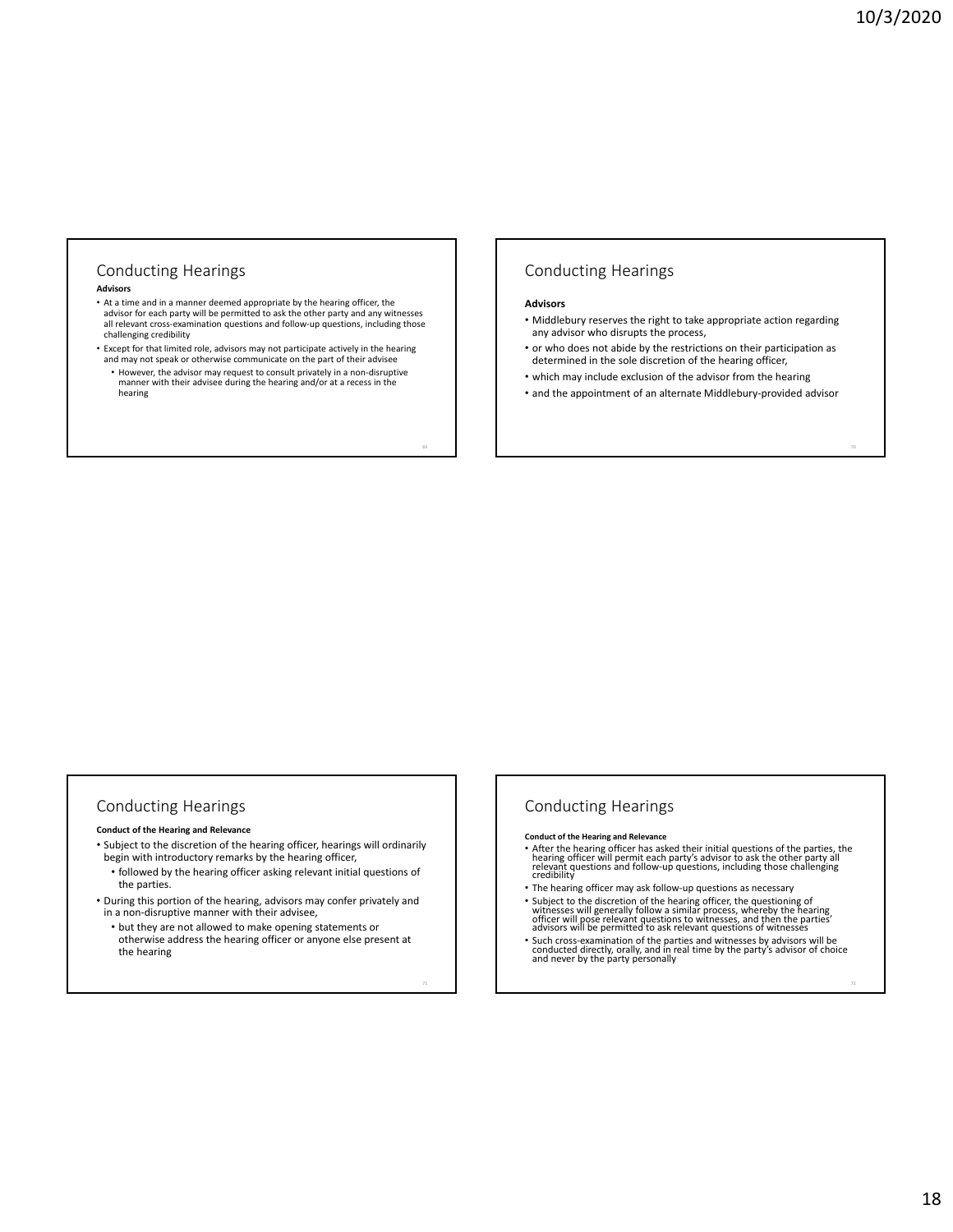# Conducting Hearings

#### **Advisors**

- At a time and in a manner deemed appropriate by the hearing officer, the advisor for each party will be permitted to ask the other party and any witnesses all relevant cross‐examination questions and follow‐up questions, including those challenging credibility
- Except for that limited role, advisors may not participate actively in the hearing and may not speak or otherwise communicate on the part of their advisee • However, the advisor may request to consult privately in a non‐disruptive
- manner with their advisee during the hearing and/or at a recess in the hearing

### Conducting Hearings

#### **Advisors**

- Middlebury reserves the right to take appropriate action regarding any advisor who disrupts the process,
- or who does not abide by the restrictions on their participation as determined in the sole discretion of the hearing officer,
- which may include exclusion of the advisor from the hearing
- and the appointment of an alternate Middlebury‐provided advisor

#### Conducting Hearings

#### **Conduct of the Hearing and Relevance**

- Subject to the discretion of the hearing officer, hearings will ordinarily begin with introductory remarks by the hearing officer,
	- followed by the hearing officer asking relevant initial questions of the parties.
- During this portion of the hearing, advisors may confer privately and in a non‐disruptive manner with their advisee,
	- but they are not allowed to make opening statements or otherwise address the hearing officer or anyone else present at the hearing

#### Conducting Hearings

**Conduct of the Hearing and Relevance**

- After the hearing officer has asked their initial questions of the parties, the<br>hearing officer will permit each party's advisor to ask the other party all<br>relevant questions and follow-up questions, including those chal
- The hearing officer may ask follow‐up questions as necessary
- The nearing officer, the questioning of the hearing officer, the questioning of<br>witnesses will generally follow a similar process, whereby the hearing<br>officer will pose relevant questions to witnesses, and then the parti
- Such cross‐examination of the parties and witnesses by advisors will be conducted directly, orally, and in real time by the party's advisor of choice and never by the party personally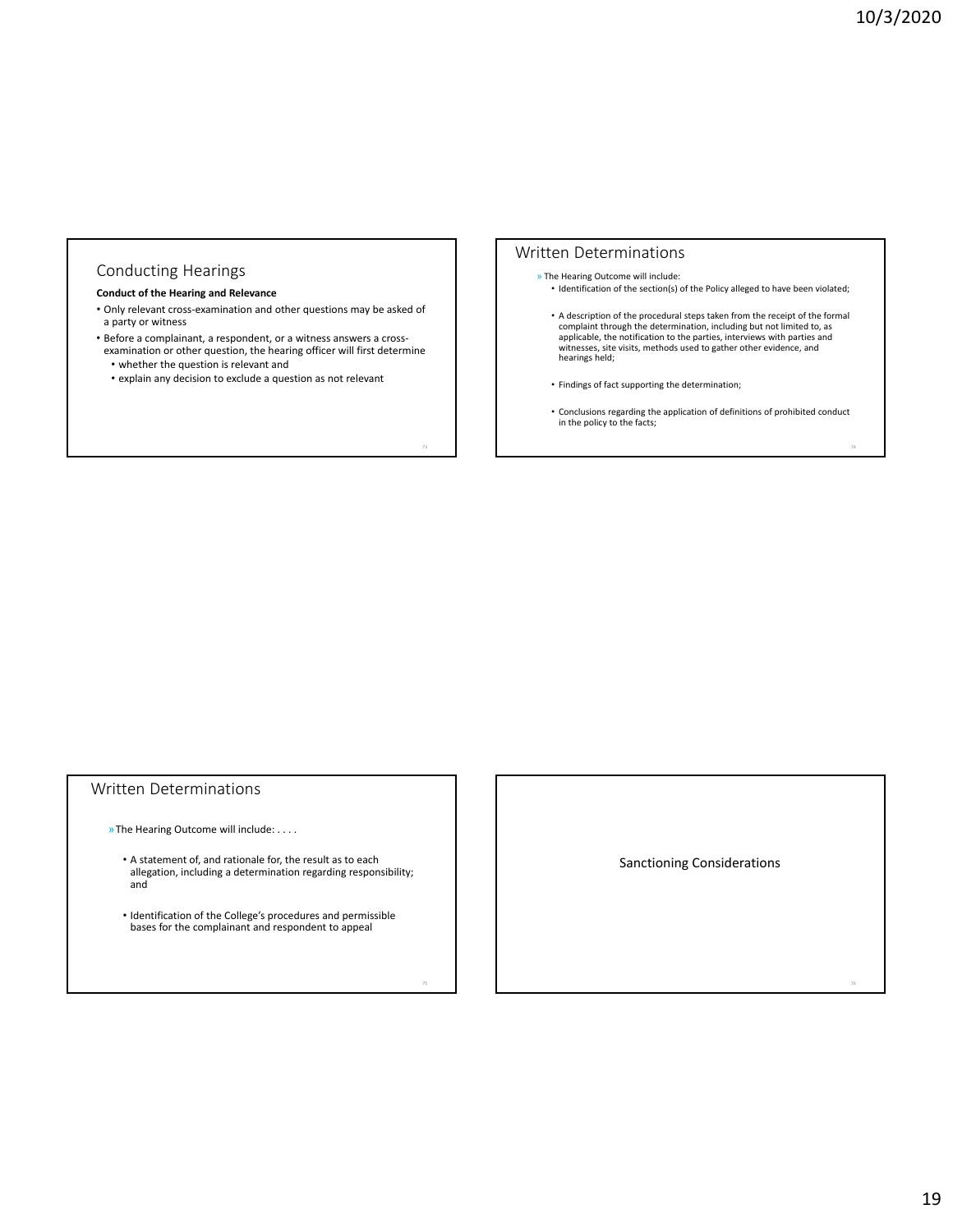## Conducting Hearings

#### **Conduct of the Hearing and Relevance**

- Only relevant cross‐examination and other questions may be asked of a party or witness
- Before a complainant, a respondent, or a witness answers a cross‐ examination or other question, the hearing officer will first determine
	- whether the question is relevant and
- explain any decision to exclude a question as not relevant

#### Written Determinations

- » The Hearing Outcome will include: • Identification of the section(s) of the Policy alleged to have been violated;
- A description of the procedural steps taken from the receipt of the formal complaint through the determination, including but not limited to, as applicable, the notification to the parties, interviews with parties and witnesses, site visits, methods used to gather other evidence, and hearings held;
- Findings of fact supporting the determination;
- Conclusions regarding the application of definitions of prohibited conduct in the policy to the facts;

## Written Determinations

»The Hearing Outcome will include: . . . .

- A statement of, and rationale for, the result as to each allegation, including a determination regarding responsibility; and
- Identification of the College's procedures and permissible bases for the complainant and respondent to appeal

Sanctioning Considerations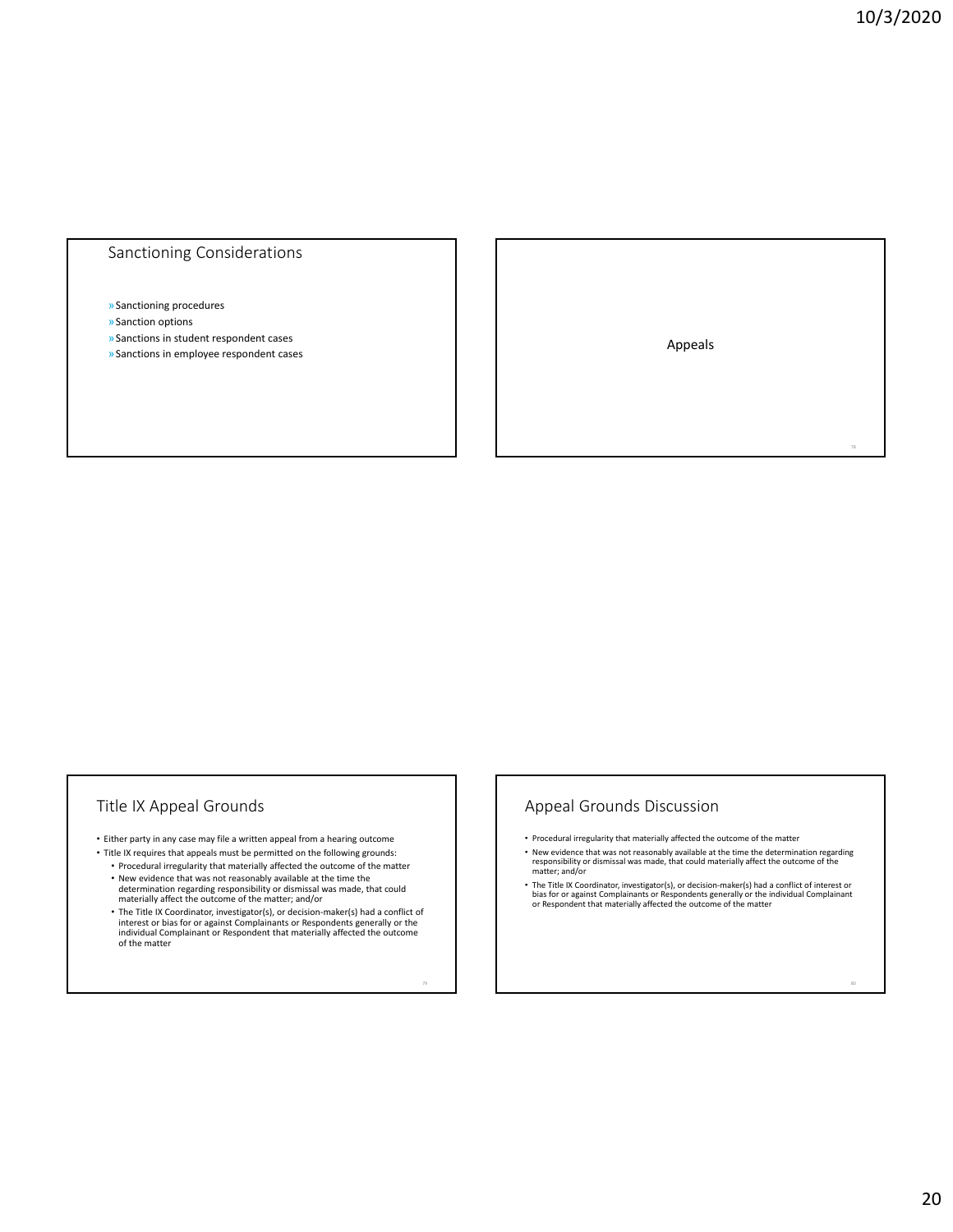78

## Sanctioning Considerations

#### »Sanctioning procedures

- »Sanction options
- »Sanctions in student respondent cases
- » Sanctions in student respondent cases<br>» Sanctions in employee respondent cases Appeals Appeals Appeals Appeals Appeals Appeals Appeals Appeals Appeals

## Title IX Appeal Grounds

- Either party in any case may file a written appeal from a hearing outcome
- Title IX requires that appeals must be permitted on the following grounds: • Procedural irregularity that materially affected the outcome of the matter
	- New evidence that was not reasonably available at the time the determination regarding responsibility or dismissal was made, that could materially affect the outcome of the matter; and/or
	- The Title IX Coordinator, investigator(s), or decision‐maker(s) had a conflict of interest or bias for or against Complainants or Respondents generally or the individual Complainant or Respondent that materially affected the outcome of the matter

## Appeal Grounds Discussion

- Procedural irregularity that materially affected the outcome of the matter
- New evidence that was not reasonably available at the time the determination regarding responsibility or dismissal was made, that could materially affect the outcome of the matter; and/or
- The Title IX Coordinator, investigator(s), or decision-maker(s) had a conflict of interest or<br>bias for or against Complainants or Respondents generally or the individual Complainant<br>or Respondent that materially affected